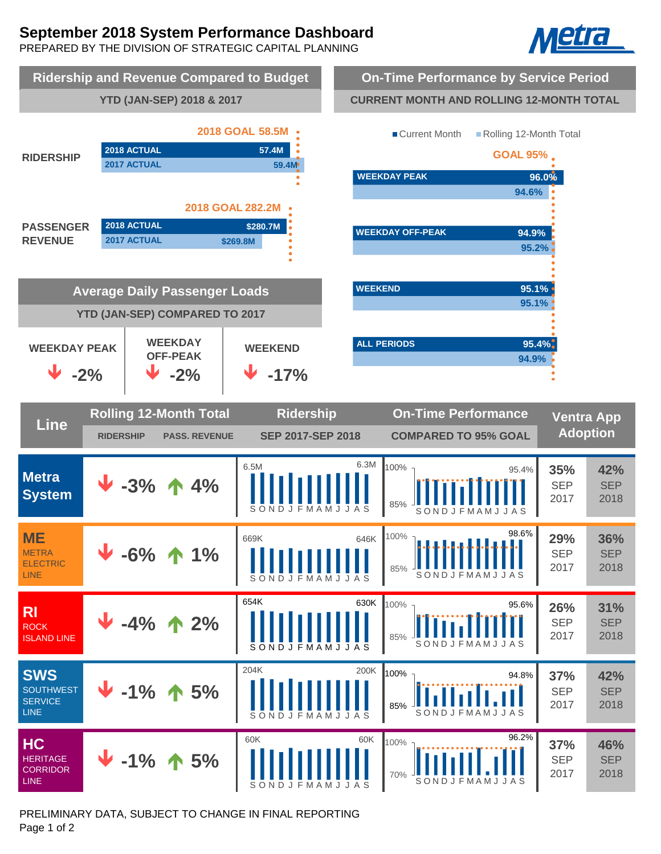# **September 2018 System Performance Dashboard**

PREPARED BY THE DIVISION OF STRATEGIC CAPITAL PLANNING





PRELIMINARY DATA, SUBJECT TO CHANGE IN FINAL REPORTING Page 1 of 2